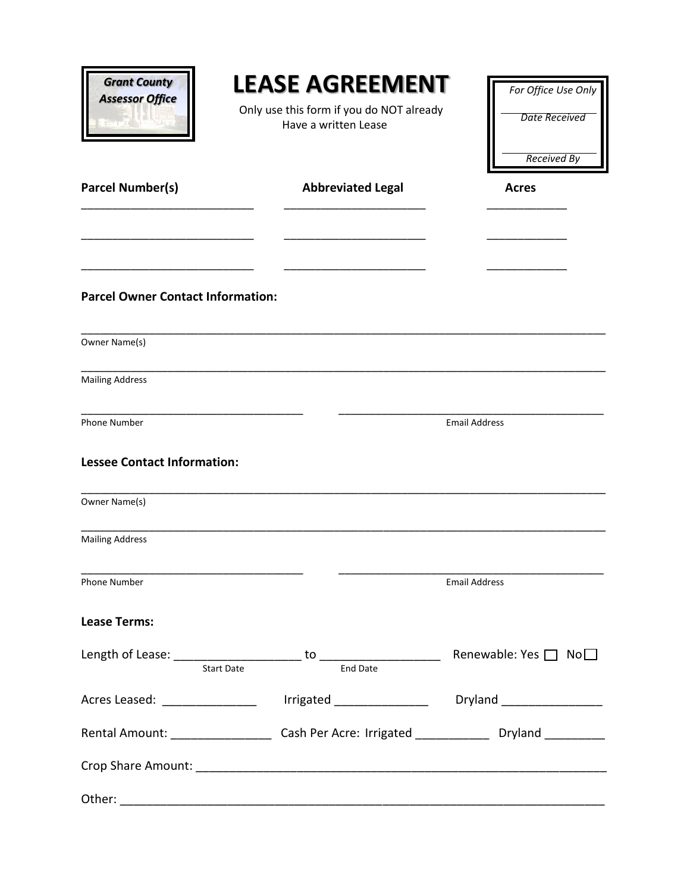| <b>Grant County</b><br><b>Assessor Office</b>                                                 |                                                                                           | LEASE AGREEMENT<br>Only use this form if you do NOT already<br>Have a written Lease |                      | For Office Use Only<br><b>Date Received</b><br><b>Received By</b>                                    |
|-----------------------------------------------------------------------------------------------|-------------------------------------------------------------------------------------------|-------------------------------------------------------------------------------------|----------------------|------------------------------------------------------------------------------------------------------|
| <b>Parcel Number(s)</b>                                                                       |                                                                                           | <b>Abbreviated Legal</b>                                                            |                      | <b>Acres</b>                                                                                         |
| <b>Parcel Owner Contact Information:</b>                                                      |                                                                                           |                                                                                     |                      |                                                                                                      |
| Owner Name(s)                                                                                 |                                                                                           |                                                                                     |                      |                                                                                                      |
| <b>Mailing Address</b>                                                                        |                                                                                           |                                                                                     |                      |                                                                                                      |
| <b>Phone Number</b>                                                                           |                                                                                           |                                                                                     | <b>Email Address</b> |                                                                                                      |
| <b>Lessee Contact Information:</b>                                                            |                                                                                           |                                                                                     |                      |                                                                                                      |
| Owner Name(s)                                                                                 |                                                                                           |                                                                                     |                      |                                                                                                      |
| <b>Mailing Address</b>                                                                        |                                                                                           |                                                                                     |                      |                                                                                                      |
| Phone Number                                                                                  | the control of the control of the control of the control of the control of the control of |                                                                                     | <b>Email Address</b> |                                                                                                      |
| <b>Lease Terms:</b>                                                                           |                                                                                           |                                                                                     |                      |                                                                                                      |
|                                                                                               | <b>Start Date</b>                                                                         | <b>End Date</b>                                                                     |                      | Renewable: Yes $\Box$ No $\Box$                                                                      |
| Acres Leased: ____________________  lrrigated ___________________  Dryland __________________ |                                                                                           |                                                                                     |                      |                                                                                                      |
|                                                                                               |                                                                                           |                                                                                     |                      | Rental Amount: _______________________Cash Per Acre: Irrigated _________________ Dryland ___________ |
|                                                                                               |                                                                                           |                                                                                     |                      |                                                                                                      |
|                                                                                               |                                                                                           |                                                                                     |                      |                                                                                                      |